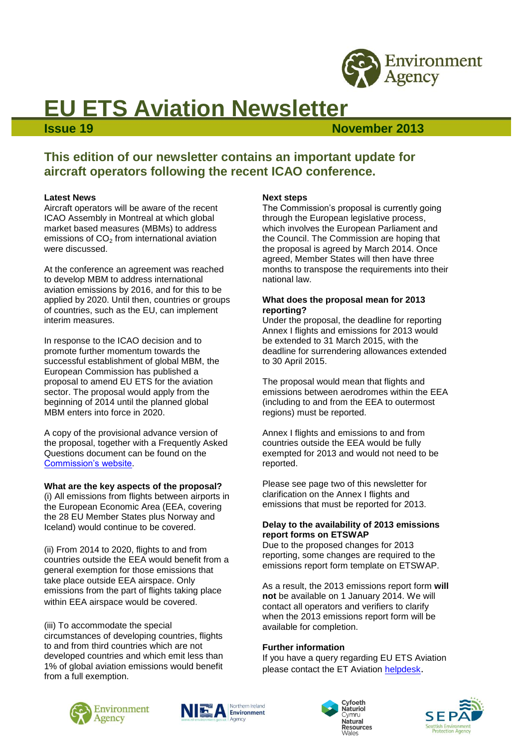

# **EU ETS Aviation Newsletter**

### **Issue 19 November 2013**

## **This edition of our newsletter contains an important update for aircraft operators following the recent ICAO conference.**

#### **Latest News**

Aircraft operators will be aware of the recent ICAO Assembly in Montreal at which global market based measures (MBMs) to address emissions of  $CO<sub>2</sub>$  from international aviation were discussed.

At the conference an agreement was reached to develop MBM to address international aviation emissions by 2016, and for this to be applied by 2020. Until then, countries or groups of countries, such as the EU, can implement interim measures.

In response to the ICAO decision and to promote further momentum towards the successful establishment of global MBM, the European Commission has published a proposal to amend EU ETS for the aviation sector. The proposal would apply from the beginning of 2014 until the planned global MBM enters into force in 2020.

A copy of the provisional advance version of the proposal, together with a Frequently Asked Questions document can be found on the [Commission's website.](http://ec.europa.eu/clima/news/articles/news_2013101601_en.htm)

#### **What are the key aspects of the proposal?**

(i) All emissions from flights between airports in the European Economic Area (EEA, covering the 28 EU Member States plus Norway and Iceland) would continue to be covered.

(ii) From 2014 to 2020, flights to and from countries outside the EEA would benefit from a general exemption for those emissions that take place outside EEA airspace. Only emissions from the part of flights taking place within EEA airspace would be covered.

(iii) To accommodate the special circumstances of developing countries, flights to and from third countries which are not developed countries and which emit less than 1% of global aviation emissions would benefit from a full exemption.

#### **Next steps**

The Commission's proposal is currently going through the European legislative process, which involves the European Parliament and the Council. The Commission are hoping that the proposal is agreed by March 2014. Once agreed, Member States will then have three months to transpose the requirements into their national law.

#### **What does the proposal mean for 2013 reporting?**

Under the proposal, the deadline for reporting Annex I flights and emissions for 2013 would be extended to 31 March 2015, with the deadline for surrendering allowances extended to 30 April 2015.

The proposal would mean that flights and emissions between aerodromes within the EEA (including to and from the EEA to outermost regions) must be reported.

Annex I flights and emissions to and from countries outside the EEA would be fully exempted for 2013 and would not need to be reported.

Please see page two of this newsletter for clarification on the Annex I flights and emissions that must be reported for 2013.

#### **Delay to the availability of 2013 emissions report forms on ETSWAP**

Due to the proposed changes for 2013 reporting, some changes are required to the emissions report form template on ETSWAP.

As a result, the 2013 emissions report form **will not** be available on 1 January 2014. We will contact all operators and verifiers to clarify when the 2013 emissions report form will be available for completion.

#### **Further information**

If you have a query regarding EU ETS Aviation please contact the ET Aviation [helpdesk](mailto:etaviationhelp@environment-agency.gov.uk).